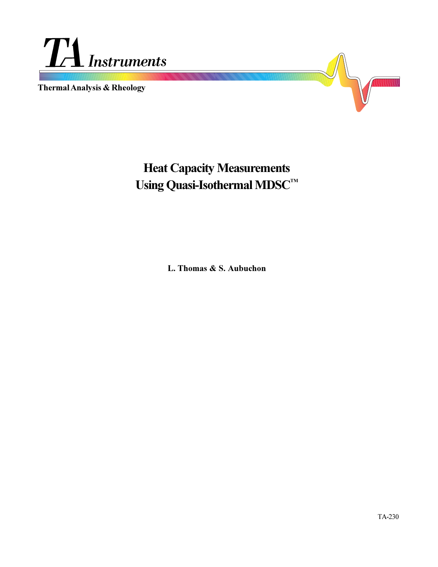

**Thermal Analysis & Rheology**



# **Heat Capacity Measurements** Using Quasi-Isothermal MDSC<sup>TM</sup>

**L. Thomas & S. Aubuchon**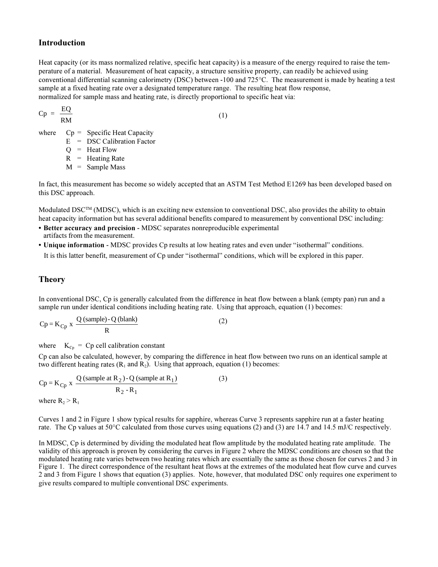## **Introduction**

Heat capacity (or its mass normalized relative, specific heat capacity) is a measure of the energy required to raise the temperature of a material. Measurement of heat capacity, a structure sensitive property, can readily be achieved using conventional differential scanning calorimetry (DSC) between -100 and 725°C. The measurement is made by heating a test sample at a fixed heating rate over a designated temperature range. The resulting heat flow response, normalized for sample mass and heating rate, is directly proportional to specific heat via:

$$
Cp = \frac{EQ}{RM}
$$

(1)

where  $Cp =$  Specific Heat Capacity

E = DSC Calibration Factor

 $Q =$  Heat Flow

 $R$  = Heating Rate

 $M =$ Sample Mass

In fact, this measurement has become so widely accepted that an ASTM Test Method E1269 has been developed based on this DSC approach.

Modulated DSC<sup>TM</sup> (MDSC), which is an exciting new extension to conventional DSC, also provides the ability to obtain heat capacity information but has several additional benefits compared to measurement by conventional DSC including:

- **Better accuracy and precision**  MDSC separates nonreproducible experimental
- artifacts from the measurement.
- Unique information MDSC provides Cp results at low heating rates and even under "isothermal" conditions. It is this latter benefit, measurement of Cp under "isothermal" conditions, which will be explored in this paper.

# **Theory**

In conventional DSC, Cp is generally calculated from the difference in heat flow between a blank (empty pan) run and a sample run under identical conditions including heating rate. Using that approach, equation (1) becomes:

$$
Cp = K_{Cp} x \frac{Q \text{ (sample)} - Q \text{ (blank)}}{R}
$$
 (2)

where  $K_{Cp} = Cp$  cell calibration constant

Cp can also be calculated, however, by comparing the difference in heat flow between two runs on an identical sample at two different heating rates  $(R_1 \text{ and } R_2)$ . Using that approach, equation (1) becomes:

$$
Cp = K_{Cp} x \frac{Q \text{ (sample at R}_2) - Q \text{ (sample at R}_1)}{R_2 - R_1}
$$
 (3)  
where R<sub>2</sub> > R<sub>1</sub>

Curves 1 and 2 in Figure 1 show typical results for sapphire, whereas Curve 3 represents sapphire run at a faster heating rate. The Cp values at 50°C calculated from those curves using equations (2) and (3) are 14.7 and 14.5 mJ/C respectively.

In MDSC, Cp is determined by dividing the modulated heat flow amplitude by the modulated heating rate amplitude. The validity of this approach is proven by considering the curves in Figure 2 where the MDSC conditions are chosen so that the modulated heating rate varies between two heating rates which are essentially the same as those chosen for curves 2 and 3 in Figure 1. The direct correspondence of the resultant heat flows at the extremes of the modulated heat flow curve and curves 2 and 3 from Figure 1 shows that equation (3) applies. Note, however, that modulated DSC only requires one experiment to give results compared to multiple conventional DSC experiments.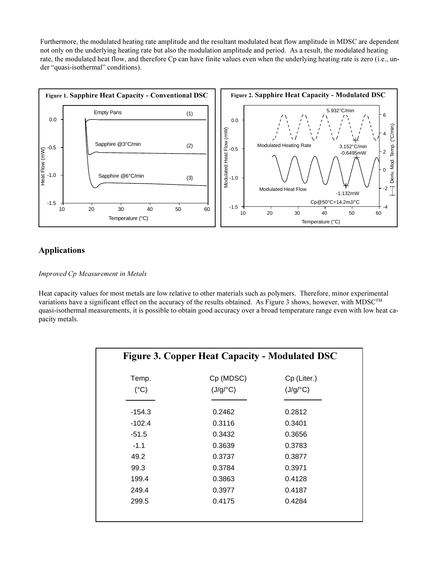Furthermore, the modulated heating rate amplitude and the resultant modulated heat flow amplitude in MDSC are dependent not only on the underlying heating rate but also the modulation amplitude and period. As a result, the modulated heating rate, the modulated heat flow, and therefore Cp can have finite values even when the underlying heating rate is zero (i.e., under "quasi-isothermal" conditions).



# **Applications**

### *Improved Cp Measurement in Metals*

Heat capacity values for most metals are low relative to other materials such as polymers. Therefore, minor experimental variations have a significant effect on the accuracy of the results obtained. As Figure 3 shows, however, with MDSC™ quasi-isothermal measurements, it is possible to obtain good accuracy over a broad temperature range even with low heat ca-

| <b>Figure 3. Copper Heat Capacity - Modulated DSC</b> |           |             |  |
|-------------------------------------------------------|-----------|-------------|--|
| Temp.                                                 | Cp (MDSC) | Cp (Liter.) |  |
| $(^{\circ}C)$                                         | (J/g/C)   | (J/g/C)     |  |
| -154.3                                                | 0.2462    | 0.2812      |  |
| $-102.4$                                              | 0.3116    | 0.3401      |  |
| $-51.5$                                               | 0.3432    | 0.3656      |  |
| $-1.1$                                                | 0.3639    | 0.3783      |  |
| 49.2                                                  | 0.3737    | 0.3877      |  |
| 99.3                                                  | 0.3784    | 0.3971      |  |
| 199.4                                                 | 0.3863    | 0.4128      |  |
| 249.4                                                 | 0.3977    | 0.4187      |  |
| 299.5                                                 | 0.4175    | 0.4284      |  |
|                                                       |           |             |  |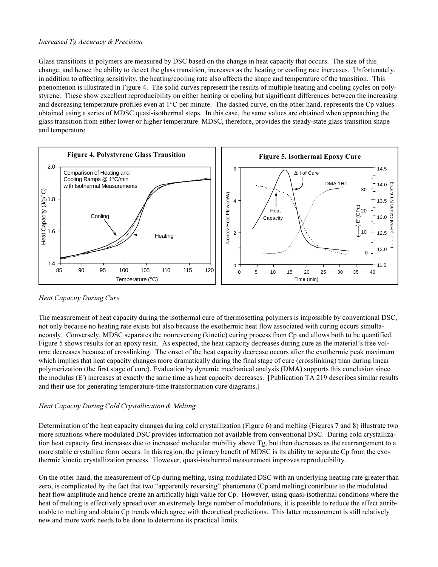#### *Increased Tg Accuracy & Precision*

Glass transitions in polymers are measured by DSC based on the change in heat capacity that occurs. The size of this change, and hence the ability to detect the glass transition, increases as the heating or cooling rate increases. Unfortunately, in addition to affecting sensitivity, the heating/cooling rate also affects the shape and temperature of the transition. This phenomenon is illustrated in Figure 4. The solid curves represent the results of multiple heating and cooling cycles on polystyrene. These show excellent reproducibility on either heating or cooling but significant differences between the increasing and decreasing temperature profiles even at 1°C per minute. The dashed curve, on the other hand, represents the Cp values obtained using a series of MDSC quasi-isothermal steps. In this case, the same values are obtained when approaching the glass transition from either lower or higher temperature. MDSC, therefore, provides the steady-state glass transition shape and temperature.



#### *Heat Capacity During Cure*

The measurement of heat capacity during the isothermal cure of thermosetting polymers is impossible by conventional DSC, not only because no heating rate exists but also because the exothermic heat flow associated with curing occurs simultaneously. Conversely, MDSC separates the nonreversing (kinetic) curing process from Cp and allows both to be quantified. Figure 5 shows results for an epoxy resin. As expected, the heat capacity decreases during cure as the material's free volume decreases because of crosslinking. The onset of the heat capacity decrease occurs after the exothermic peak maximum which implies that heat capacity changes more dramatically during the final stage of cure (crosslinking) than during linear polymerization (the first stage of cure). Evaluation by dynamic mechanical analysis (DMA) supports this conclusion since the modulus (E') increases at exactly the same time as heat capacity decreases. [Publication TA 219 describes similar results and their use for generating temperature-time transformation cure diagrams.]

#### *Heat Capacity During Cold Crystallization & Melting*

Determination of the heat capacity changes during cold crystallization (Figure 6) and melting (Figures 7 and 8) illustrate two more situations where modulated DSC provides information not available from conventional DSC. During cold crystallization heat capacity first increases due to increased molecular mobility above Tg, but then decreases as the rearrangement to a more stable crystalline form occurs. In this region, the primary benefit of MDSC is its ability to separate Cp from the exothermic kinetic crystallization process. However, quasi-isothermal measurement improves reproducibility.

On the other hand, the measurement of Cp during melting, using modulated DSC with an underlying heating rate greater than zero, is complicated by the fact that two "apparently reversing" phenomena (Cp and melting) contribute to the modulated heat flow amplitude and hence create an artifically high value for Cp. However, using quasi-isothermal conditions where the heat of melting is effectively spread over an extremely large number of modulations, it is possible to reduce the effect attributable to melting and obtain Cp trends which agree with theoretical predictions. This latter measurement is still relatively new and more work needs to be done to determine its practical limits.